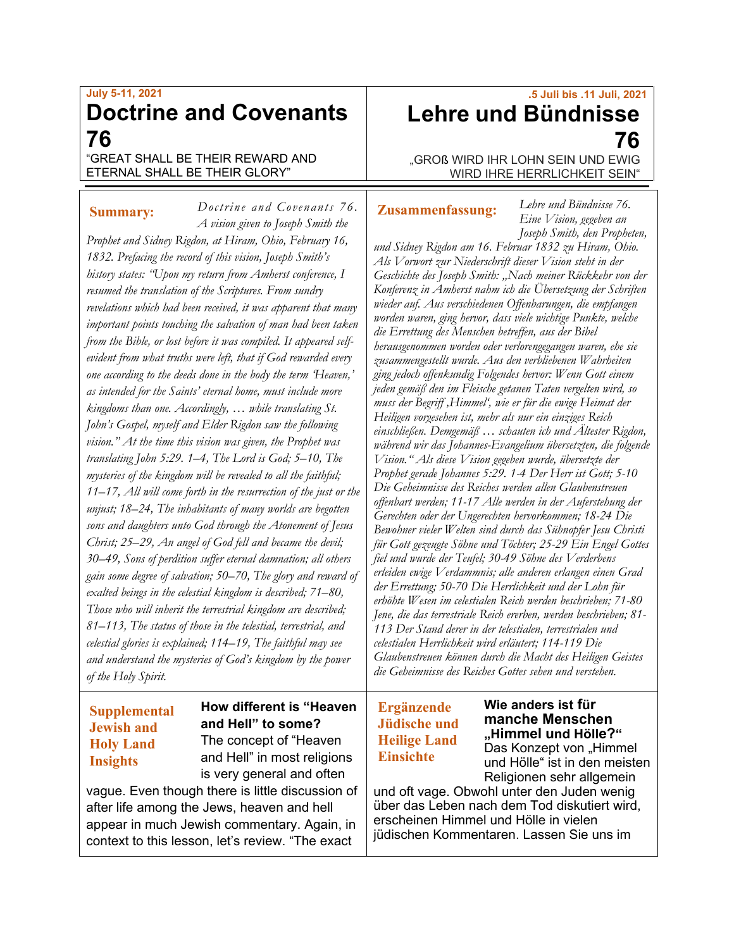## **July 5-11, 2021 Doctrine and Covenants 76**

*Doctrine and Covenants 76.* 

"GREAT SHALL BE THEIR REWARD AND ETERNAL SHALL BE THEIR GLORY"

## **Summary:**

*A vision given to Joseph Smith the Prophet and Sidney Rigdon, at Hiram, Ohio, February 16, 1832. Prefacing the record of this vision, Joseph Smith's history states: "Upon my return from Amherst conference, I resumed the translation of the Scriptures. From sundry revelations which had been received, it was apparent that many important points touching the salvation of man had been taken from the Bible, or lost before it was compiled. It appeared selfevident from what truths were left, that if God rewarded every one according to the deeds done in the body the term 'Heaven,' as intended for the Saints' eternal home, must include more kingdoms than one. Accordingly, … while translating St. John's Gospel, myself and Elder Rigdon saw the following vision." At the time this vision was given, the Prophet was translating John 5:29. 1–4, The Lord is God; 5–10, The mysteries of the kingdom will be revealed to all the faithful; 11–17, All will come forth in the resurrection of the just or the unjust; 18–24, The inhabitants of many worlds are begotten sons and daughters unto God through the Atonement of Jesus Christ; 25–29, An angel of God fell and became the devil; 30–49, Sons of perdition suffer eternal damnation; all others gain some degree of salvation; 50–70, The glory and reward of exalted beings in the celestial kingdom is described; 71–80, Those who will inherit the terrestrial kingdom are described; 81–113, The status of those in the telestial, terrestrial, and celestial glories is explained; 114–19, The faithful may see and understand the mysteries of God's kingdom by the power of the Holy Spirit.*

## **Supplemental Jewish and Holy Land Insights**

**How different is "Heaven and Hell" to some?** The concept of "Heaven and Hell" in most religions is very general and often

vague. Even though there is little discussion of after life among the Jews, heaven and hell appear in much Jewish commentary. Again, in context to this lesson, let's review. "The exact

# **.5 Juli bis .11 Juli, 2021 Lehre und Bündnisse 76**

"GROß WIRD IHR LOHN SEIN UND EWIG WIRD IHRE HERRLICHKEIT SEIN"

## **Zusammenfassung:**

*Lehre und Bündnisse 76. Eine Vision, gegeben an Joseph Smith, den Propheten,* 

*und Sidney Rigdon am 16. Februar 1832 zu Hiram, Ohio. Als Vorwort zur Niederschrift dieser Vision steht in der Geschichte des Joseph Smith: "Nach meiner Rückkehr von der Konferenz in Amherst nahm ich die Übersetzung der Schriften wieder auf. Aus verschiedenen Offenbarungen, die empfangen worden waren, ging hervor, dass viele wichtige Punkte, welche die Errettung des Menschen betreffen, aus der Bibel herausgenommen worden oder verlorengegangen waren, ehe sie zusammengestellt wurde. Aus den verbliebenen Wahrheiten ging jedoch offenkundig Folgendes hervor: Wenn Gott einem jeden gemäß den im Fleische getanen Taten vergelten wird, so muss der Begriff 'Himmel', wie er für die ewige Heimat der Heiligen vorgesehen ist, mehr als nur ein einziges Reich einschließen. Demgemäß … schauten ich und Ältester Rigdon, während wir das Johannes-Evangelium übersetzten, die folgende Vision." Als diese Vision gegeben wurde, übersetzte der Prophet gerade Johannes 5:29. 1-4 Der Herr ist Gott; 5-10 Die Geheimnisse des Reiches werden allen Glaubenstreuen offenbart werden; 11-17 Alle werden in der Auferstehung der Gerechten oder der Ungerechten hervorkommen; 18-24 Die Bewohner vieler Welten sind durch das Sühnopfer Jesu Christi für Gott gezeugte Söhne und Töchter; 25-29 Ein Engel Gottes fiel und wurde der Teufel; 30-49 Söhne des Verderbens erleiden ewige Verdammnis; alle anderen erlangen einen Grad der Errettung; 50-70 Die Herrlichkeit und der Lohn für erhöhte Wesen im celestialen Reich werden beschrieben; 71-80 Jene, die das terrestriale Reich ererben, werden beschrieben; 81- 113 Der Stand derer in der telestialen, terrestrialen und celestialen Herrlichkeit wird erläutert; 114-119 Die Glaubenstreuen können durch die Macht des Heiligen Geistes die Geheimnisse des Reiches Gottes sehen und verstehen.*

## **Ergänzende Jüdische und Heilige Land Einsichte**

**Wie anders ist für manche Menschen "Himmel und Hölle?"**  Das Konzept von "Himmel und Hölle" ist in den meisten Religionen sehr allgemein

und oft vage. Obwohl unter den Juden wenig über das Leben nach dem Tod diskutiert wird, erscheinen Himmel und Hölle in vielen jüdischen Kommentaren. Lassen Sie uns im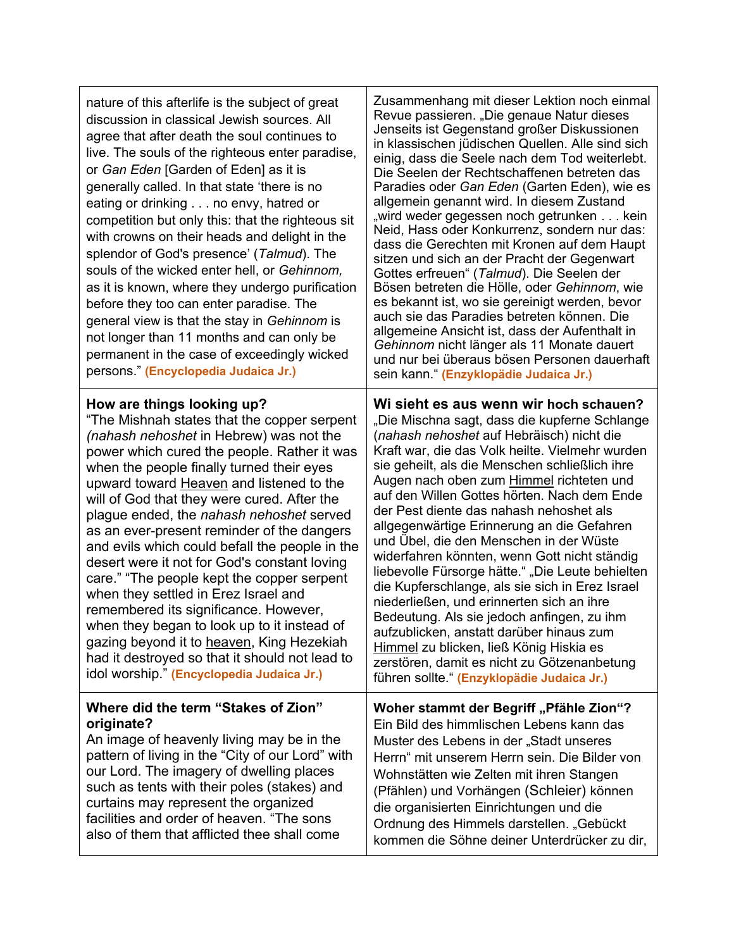| nature of this afterlife is the subject of great<br>discussion in classical Jewish sources. All<br>agree that after death the soul continues to<br>live. The souls of the righteous enter paradise,<br>or Gan Eden [Garden of Eden] as it is<br>generally called. In that state 'there is no<br>eating or drinking no envy, hatred or<br>competition but only this: that the righteous sit<br>with crowns on their heads and delight in the<br>splendor of God's presence' (Talmud). The<br>souls of the wicked enter hell, or Gehinnom,<br>as it is known, where they undergo purification<br>before they too can enter paradise. The<br>general view is that the stay in Gehinnom is<br>not longer than 11 months and can only be<br>permanent in the case of exceedingly wicked<br>persons." (Encyclopedia Judaica Jr.)        | Zusammenhang mit dieser Lektion noch einmal<br>Revue passieren. "Die genaue Natur dieses<br>Jenseits ist Gegenstand großer Diskussionen<br>in klassischen jüdischen Quellen. Alle sind sich<br>einig, dass die Seele nach dem Tod weiterlebt.<br>Die Seelen der Rechtschaffenen betreten das<br>Paradies oder Gan Eden (Garten Eden), wie es<br>allgemein genannt wird. In diesem Zustand<br>"wird weder gegessen noch getrunkenkein<br>Neid, Hass oder Konkurrenz, sondern nur das:<br>dass die Gerechten mit Kronen auf dem Haupt<br>sitzen und sich an der Pracht der Gegenwart<br>Gottes erfreuen" (Talmud). Die Seelen der<br>Bösen betreten die Hölle, oder Gehinnom, wie<br>es bekannt ist, wo sie gereinigt werden, bevor<br>auch sie das Paradies betreten können. Die<br>allgemeine Ansicht ist, dass der Aufenthalt in<br>Gehinnom nicht länger als 11 Monate dauert<br>und nur bei überaus bösen Personen dauerhaft<br>sein kann." (Enzyklopädie Judaica Jr.) |
|-----------------------------------------------------------------------------------------------------------------------------------------------------------------------------------------------------------------------------------------------------------------------------------------------------------------------------------------------------------------------------------------------------------------------------------------------------------------------------------------------------------------------------------------------------------------------------------------------------------------------------------------------------------------------------------------------------------------------------------------------------------------------------------------------------------------------------------|---------------------------------------------------------------------------------------------------------------------------------------------------------------------------------------------------------------------------------------------------------------------------------------------------------------------------------------------------------------------------------------------------------------------------------------------------------------------------------------------------------------------------------------------------------------------------------------------------------------------------------------------------------------------------------------------------------------------------------------------------------------------------------------------------------------------------------------------------------------------------------------------------------------------------------------------------------------------------|
| How are things looking up?<br>"The Mishnah states that the copper serpent<br>(nahash nehoshet in Hebrew) was not the<br>power which cured the people. Rather it was<br>when the people finally turned their eyes<br>upward toward Heaven and listened to the<br>will of God that they were cured. After the<br>plague ended, the nahash nehoshet served<br>as an ever-present reminder of the dangers<br>and evils which could befall the people in the<br>desert were it not for God's constant loving<br>care." "The people kept the copper serpent<br>when they settled in Erez Israel and<br>remembered its significance. However,<br>when they began to look up to it instead of<br>gazing beyond it to heaven, King Hezekiah<br>had it destroyed so that it should not lead to<br>idol worship." (Encyclopedia Judaica Jr.) | Wi sieht es aus wenn wir hoch schauen?<br>"Die Mischna sagt, dass die kupferne Schlange<br>(nahash nehoshet auf Hebräisch) nicht die<br>Kraft war, die das Volk heilte. Vielmehr wurden<br>sie geheilt, als die Menschen schließlich ihre<br>Augen nach oben zum Himmel richteten und<br>auf den Willen Gottes hörten. Nach dem Ende<br>der Pest diente das nahash nehoshet als<br>allgegenwärtige Erinnerung an die Gefahren<br>und Übel, die den Menschen in der Wüste<br>widerfahren könnten, wenn Gott nicht ständig<br>liebevolle Fürsorge hätte." "Die Leute behielten<br>die Kupferschlange, als sie sich in Erez Israel<br>niederließen, und erinnerten sich an ihre<br>Bedeutung. Als sie jedoch anfingen, zu ihm<br>aufzublicken, anstatt darüber hinaus zum<br>Himmel zu blicken, ließ König Hiskia es<br>zerstören, damit es nicht zu Götzenanbetung<br>führen sollte " (Enzyklopädie Judaica Jr.)                                                            |
| Where did the term "Stakes of Zion"<br>originate?<br>An image of heavenly living may be in the<br>pattern of living in the "City of our Lord" with<br>our Lord. The imagery of dwelling places<br>such as tents with their poles (stakes) and<br>curtains may represent the organized<br>facilities and order of heaven. "The sons<br>also of them that afflicted thee shall come                                                                                                                                                                                                                                                                                                                                                                                                                                                 | Woher stammt der Begriff "Pfähle Zion"?<br>Ein Bild des himmlischen Lebens kann das<br>Muster des Lebens in der "Stadt unseres<br>Herrn" mit unserem Herrn sein. Die Bilder von<br>Wohnstätten wie Zelten mit ihren Stangen<br>(Pfählen) und Vorhängen (Schleier) können<br>die organisierten Einrichtungen und die<br>Ordnung des Himmels darstellen. "Gebückt<br>kommen die Söhne deiner Unterdrücker zu dir,                                                                                                                                                                                                                                                                                                                                                                                                                                                                                                                                                           |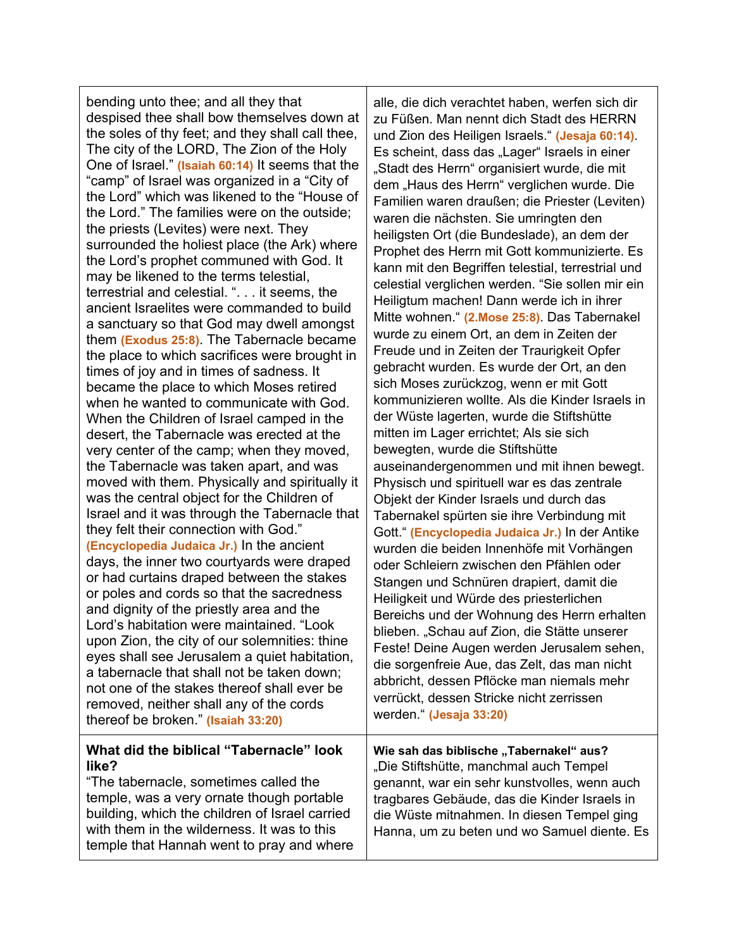bending unto thee; and all they that despised thee shall bow themselves down at the soles of thy feet; and they shall call thee, The city of the LORD, The Zion of the Holy One of Israel." **(Isaiah 60:14)** It seems that the "camp" of Israel was organized in a "City of the Lord" which was likened to the "House of the Lord." The families were on the outside; the priests (Levites) were next. They surrounded the holiest place (the Ark) where the Lord's prophet communed with God. It may be likened to the terms telestial, terrestrial and celestial. ". . . it seems, the ancient Israelites were commanded to build a sanctuary so that God may dwell amongst them **(Exodus 25:8)**. The Tabernacle became the place to which sacrifices were brought in times of joy and in times of sadness. It became the place to which Moses retired when he wanted to communicate with God. When the Children of Israel camped in the desert, the Tabernacle was erected at the very center of the camp; when they moved, the Tabernacle was taken apart, and was moved with them. Physically and spiritually it was the central object for the Children of Israel and it was through the Tabernacle that they felt their connection with God." **(Encyclopedia Judaica Jr.)** In the ancient days, the inner two courtyards were draped or had curtains draped between the stakes or poles and cords so that the sacredness and dignity of the priestly area and the Lord's habitation were maintained. "Look upon Zion, the city of our solemnities: thine eyes shall see Jerusalem a quiet habitation, a tabernacle that shall not be taken down; not one of the stakes thereof shall ever be removed, neither shall any of the cords thereof be broken." **(Isaiah 33:20)**

### **What did the biblical "Tabernacle" look like?**

"The tabernacle, sometimes called the temple, was a very ornate though portable building, which the children of Israel carried with them in the wilderness. It was to this temple that Hannah went to pray and where alle, die dich verachtet haben, werfen sich dir zu Füßen. Man nennt dich Stadt des HERRN und Zion des Heiligen Israels." **(Jesaja 60:14)**. Es scheint, dass das "Lager" Israels in einer "Stadt des Herrn" organisiert wurde, die mit dem "Haus des Herrn" verglichen wurde. Die Familien waren draußen; die Priester (Leviten) waren die nächsten. Sie umringten den heiligsten Ort (die Bundeslade), an dem der Prophet des Herrn mit Gott kommunizierte. Es kann mit den Begriffen telestial, terrestrial und celestial verglichen werden. "Sie sollen mir ein Heiligtum machen! Dann werde ich in ihrer Mitte wohnen." **(2.Mose 25:8)**. Das Tabernakel wurde zu einem Ort, an dem in Zeiten der Freude und in Zeiten der Traurigkeit Opfer gebracht wurden. Es wurde der Ort, an den sich Moses zurückzog, wenn er mit Gott kommunizieren wollte. Als die Kinder Israels in der Wüste lagerten, wurde die Stiftshütte mitten im Lager errichtet; Als sie sich bewegten, wurde die Stiftshütte auseinandergenommen und mit ihnen bewegt. Physisch und spirituell war es das zentrale Objekt der Kinder Israels und durch das Tabernakel spürten sie ihre Verbindung mit Gott." **(Encyclopedia Judaica Jr.)** In der Antike wurden die beiden Innenhöfe mit Vorhängen oder Schleiern zwischen den Pfählen oder Stangen und Schnüren drapiert, damit die Heiligkeit und Würde des priesterlichen Bereichs und der Wohnung des Herrn erhalten blieben. "Schau auf Zion, die Stätte unserer Feste! Deine Augen werden Jerusalem sehen, die sorgenfreie Aue, das Zelt, das man nicht abbricht, dessen Pflöcke man niemals mehr verrückt, dessen Stricke nicht zerrissen werden." **(Jesaja 33:20)**

Wie sah das biblische "Tabernakel" aus? "Die Stiftshütte, manchmal auch Tempel genannt, war ein sehr kunstvolles, wenn auch tragbares Gebäude, das die Kinder Israels in die Wüste mitnahmen. In diesen Tempel ging Hanna, um zu beten und wo Samuel diente. Es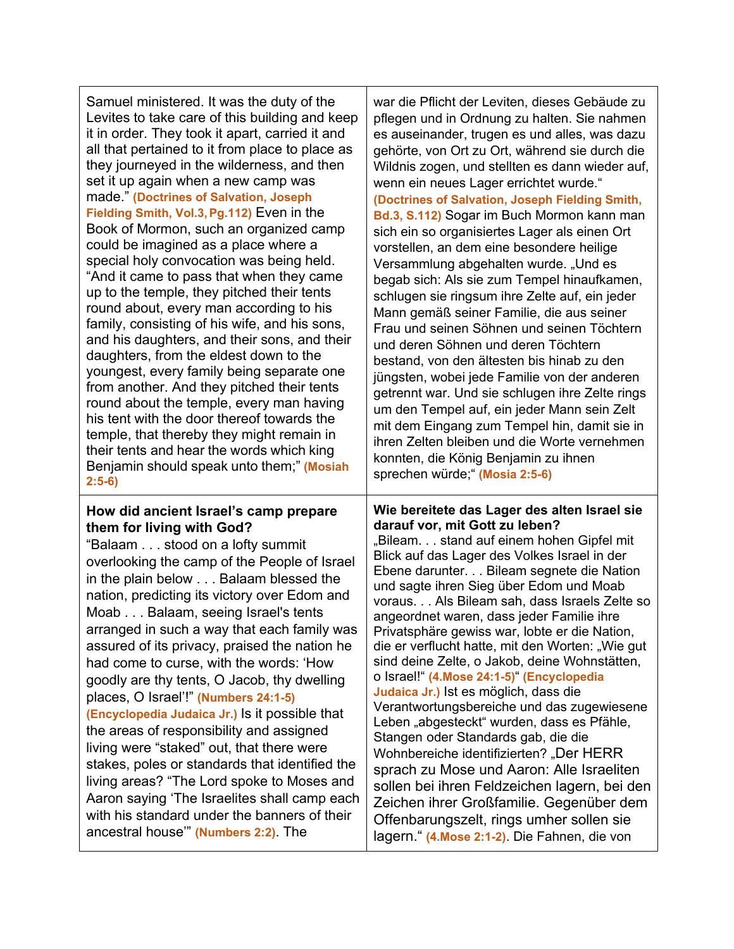| Samuel ministered. It was the duty of the<br>Levites to take care of this building and keep<br>it in order. They took it apart, carried it and<br>all that pertained to it from place to place as<br>they journeyed in the wilderness, and then<br>set it up again when a new camp was<br>made" (Doctrines of Salvation, Joseph<br>Fielding Smith, Vol.3, Pg.112) Even in the<br>Book of Mormon, such an organized camp<br>could be imagined as a place where a<br>special holy convocation was being held.<br>"And it came to pass that when they came<br>up to the temple, they pitched their tents<br>round about, every man according to his<br>family, consisting of his wife, and his sons,<br>and his daughters, and their sons, and their<br>daughters, from the eldest down to the<br>youngest, every family being separate one<br>from another. And they pitched their tents<br>round about the temple, every man having<br>his tent with the door thereof towards the<br>temple, that thereby they might remain in<br>their tents and hear the words which king<br>Benjamin should speak unto them;" (Mosiah | war die Pflicht der Leviten, dieses Gebäude zu<br>pflegen und in Ordnung zu halten. Sie nahmen<br>es auseinander, trugen es und alles, was dazu<br>gehörte, von Ort zu Ort, während sie durch die<br>Wildnis zogen, und stellten es dann wieder auf,<br>wenn ein neues Lager errichtet wurde."<br>(Doctrines of Salvation, Joseph Fielding Smith,<br>Bd.3, S.112) Sogar im Buch Mormon kann man<br>sich ein so organisiertes Lager als einen Ort<br>vorstellen, an dem eine besondere heilige<br>Versammlung abgehalten wurde. "Und es<br>begab sich: Als sie zum Tempel hinaufkamen,<br>schlugen sie ringsum ihre Zelte auf, ein jeder<br>Mann gemäß seiner Familie, die aus seiner<br>Frau und seinen Söhnen und seinen Töchtern<br>und deren Söhnen und deren Töchtern<br>bestand, von den ältesten bis hinab zu den<br>jüngsten, wobei jede Familie von der anderen<br>getrennt war. Und sie schlugen ihre Zelte rings<br>um den Tempel auf, ein jeder Mann sein Zelt<br>mit dem Eingang zum Tempel hin, damit sie in<br>ihren Zelten bleiben und die Worte vernehmen<br>konnten, die König Benjamin zu ihnen |
|-------------------------------------------------------------------------------------------------------------------------------------------------------------------------------------------------------------------------------------------------------------------------------------------------------------------------------------------------------------------------------------------------------------------------------------------------------------------------------------------------------------------------------------------------------------------------------------------------------------------------------------------------------------------------------------------------------------------------------------------------------------------------------------------------------------------------------------------------------------------------------------------------------------------------------------------------------------------------------------------------------------------------------------------------------------------------------------------------------------------------|-------------------------------------------------------------------------------------------------------------------------------------------------------------------------------------------------------------------------------------------------------------------------------------------------------------------------------------------------------------------------------------------------------------------------------------------------------------------------------------------------------------------------------------------------------------------------------------------------------------------------------------------------------------------------------------------------------------------------------------------------------------------------------------------------------------------------------------------------------------------------------------------------------------------------------------------------------------------------------------------------------------------------------------------------------------------------------------------------------------------|
| $2:5-6)$<br>How did ancient Israel's camp prepare<br>them for living with God?<br>"Balaam stood on a lofty summit<br>overlooking the camp of the People of Israel<br>in the plain below Balaam blessed the<br>nation, predicting its victory over Edom and<br>Moab Balaam, seeing Israel's tents<br>arranged in such a way that each family was<br>assured of its privacy, praised the nation he<br>had come to curse, with the words: 'How<br>goodly are thy tents, O Jacob, thy dwelling<br>places, O Israel'!" (Numbers 24:1-5)<br>(Encyclopedia Judaica Jr.) Is it possible that<br>the areas of responsibility and assigned<br>living were "staked" out, that there were<br>stakes, poles or standards that identified the<br>living areas? "The Lord spoke to Moses and<br>Aaron saying 'The Israelites shall camp each<br>with his standard under the banners of their<br>ancestral house" (Numbers 2:2). The                                                                                                                                                                                                    | sprechen würde," (Mosia 2:5-6)<br>Wie bereitete das Lager des alten Israel sie<br>darauf vor, mit Gott zu leben?<br>"Bileam. stand auf einem hohen Gipfel mit<br>Blick auf das Lager des Volkes Israel in der<br>Ebene darunter. Bileam segnete die Nation<br>und sagte ihren Sieg über Edom und Moab<br>voraus Als Bileam sah, dass Israels Zelte so<br>angeordnet waren, dass jeder Familie ihre<br>Privatsphäre gewiss war, lobte er die Nation,<br>die er verflucht hatte, mit den Worten: "Wie gut<br>sind deine Zelte, o Jakob, deine Wohnstätten,<br>o Israel!" (4. Mose 24:1-5)" (Encyclopedia<br>Judaica Jr.) Ist es möglich, dass die<br>Verantwortungsbereiche und das zugewiesene<br>Leben "abgesteckt" wurden, dass es Pfähle,<br>Stangen oder Standards gab, die die<br>Wohnbereiche identifizierten? "Der HERR<br>sprach zu Mose und Aaron: Alle Israeliten<br>sollen bei ihren Feldzeichen lagern, bei den<br>Zeichen ihrer Großfamilie. Gegenüber dem<br>Offenbarungszelt, rings umher sollen sie<br>lagern. " (4. Mose 2:1-2). Die Fahnen, die von                                              |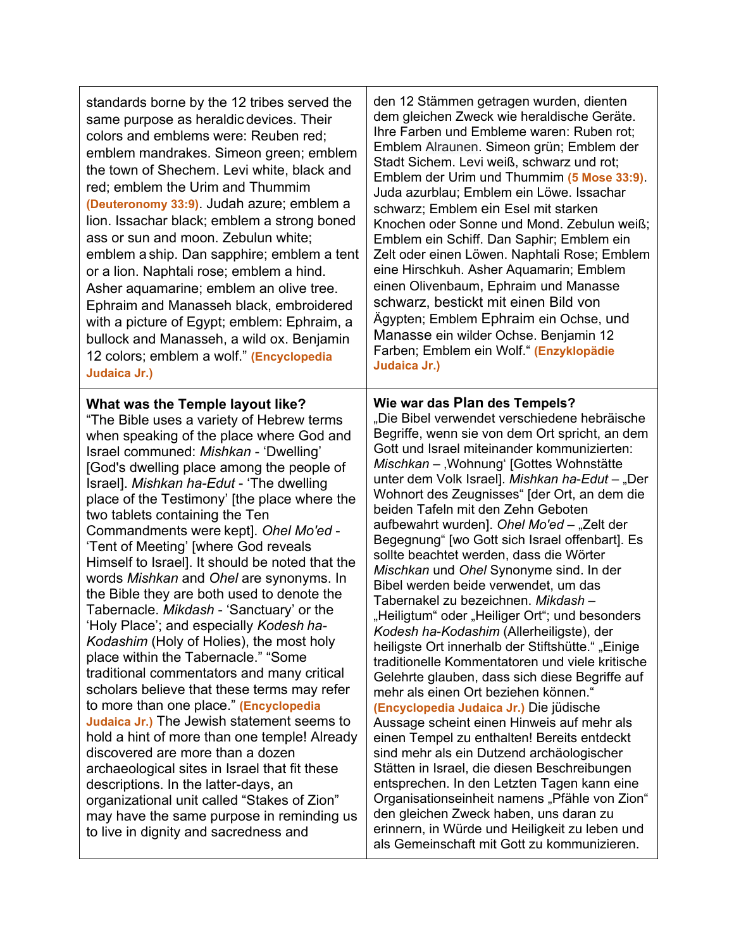| standards borne by the 12 tribes served the<br>same purpose as heraldic devices. Their<br>colors and emblems were: Reuben red;<br>emblem mandrakes. Simeon green; emblem<br>the town of Shechem. Levi white, black and<br>red; emblem the Urim and Thummim<br>(Deuteronomy 33:9). Judah azure; emblem a<br>lion. Issachar black; emblem a strong boned<br>ass or sun and moon. Zebulun white;<br>emblem a ship. Dan sapphire; emblem a tent<br>or a lion. Naphtali rose; emblem a hind.<br>Asher aquamarine; emblem an olive tree.<br>Ephraim and Manasseh black, embroidered<br>with a picture of Egypt; emblem: Ephraim, a<br>bullock and Manasseh, a wild ox. Benjamin<br>12 colors; emblem a wolf." (Encyclopedia<br>Judaica Jr.)                                                                                                                                                                                                                                                                                                                                                                                                                                                                                                                       | den 12 Stämmen getragen wurden, dienten<br>dem gleichen Zweck wie heraldische Geräte.<br>Ihre Farben und Embleme waren: Ruben rot;<br>Emblem Alraunen. Simeon grün; Emblem der<br>Stadt Sichem. Levi weiß, schwarz und rot;<br>Emblem der Urim und Thummim (5 Mose 33:9).<br>Juda azurblau; Emblem ein Löwe. Issachar<br>schwarz; Emblem ein Esel mit starken<br>Knochen oder Sonne und Mond. Zebulun weiß;<br>Emblem ein Schiff. Dan Saphir; Emblem ein<br>Zelt oder einen Löwen. Naphtali Rose; Emblem<br>eine Hirschkuh. Asher Aquamarin; Emblem<br>einen Olivenbaum, Ephraim und Manasse<br>schwarz, bestickt mit einen Bild von<br>Ägypten; Emblem Ephraim ein Ochse, und<br>Manasse ein wilder Ochse. Benjamin 12<br>Farben; Emblem ein Wolf." (Enzyklopädie<br>Judaica Jr.)                                                                                                                                                                                                                                                                                                                                                                                                                                                                                                                                                                                                                                     |
|-------------------------------------------------------------------------------------------------------------------------------------------------------------------------------------------------------------------------------------------------------------------------------------------------------------------------------------------------------------------------------------------------------------------------------------------------------------------------------------------------------------------------------------------------------------------------------------------------------------------------------------------------------------------------------------------------------------------------------------------------------------------------------------------------------------------------------------------------------------------------------------------------------------------------------------------------------------------------------------------------------------------------------------------------------------------------------------------------------------------------------------------------------------------------------------------------------------------------------------------------------------|------------------------------------------------------------------------------------------------------------------------------------------------------------------------------------------------------------------------------------------------------------------------------------------------------------------------------------------------------------------------------------------------------------------------------------------------------------------------------------------------------------------------------------------------------------------------------------------------------------------------------------------------------------------------------------------------------------------------------------------------------------------------------------------------------------------------------------------------------------------------------------------------------------------------------------------------------------------------------------------------------------------------------------------------------------------------------------------------------------------------------------------------------------------------------------------------------------------------------------------------------------------------------------------------------------------------------------------------------------------------------------------------------------------------|
| What was the Temple layout like?<br>"The Bible uses a variety of Hebrew terms<br>when speaking of the place where God and<br>Israel communed: Mishkan - 'Dwelling'<br>[God's dwelling place among the people of<br>Israel]. Mishkan ha-Edut - 'The dwelling<br>place of the Testimony' [the place where the<br>two tablets containing the Ten<br>Commandments were kept]. Ohel Mo'ed -<br>'Tent of Meeting' [where God reveals<br>Himself to Israel]. It should be noted that the<br>words Mishkan and Ohel are synonyms. In<br>the Bible they are both used to denote the<br>Tabernacle. Mikdash - 'Sanctuary' or the<br>'Holy Place'; and especially Kodesh ha-<br>Kodashim (Holy of Holies), the most holy<br>place within the Tabernacle." "Some<br>traditional commentators and many critical<br>scholars believe that these terms may refer<br>to more than one place." (Encyclopedia<br>Judaica Jr.) The Jewish statement seems to<br>hold a hint of more than one temple! Already<br>discovered are more than a dozen<br>archaeological sites in Israel that fit these<br>descriptions. In the latter-days, an<br>organizational unit called "Stakes of Zion"<br>may have the same purpose in reminding us<br>to live in dignity and sacredness and | Wie war das Plan des Tempels?<br>"Die Bibel verwendet verschiedene hebräische<br>Begriffe, wenn sie von dem Ort spricht, an dem<br>Gott und Israel miteinander kommunizierten:<br>Mischkan - "Wohnung" [Gottes Wohnstätte<br>unter dem Volk Israel]. Mishkan ha-Edut - "Der<br>Wohnort des Zeugnisses" [der Ort, an dem die<br>beiden Tafeln mit den Zehn Geboten<br>aufbewahrt wurden]. Ohel Mo'ed – "Zelt der<br>Begegnung" [wo Gott sich Israel offenbart]. Es<br>sollte beachtet werden, dass die Wörter<br>Mischkan und Ohel Synonyme sind. In der<br>Bibel werden beide verwendet, um das<br>Tabernakel zu bezeichnen. Mikdash -<br>"Heiligtum" oder "Heiliger Ort"; und besonders<br>Kodesh ha-Kodashim (Allerheiligste), der<br>heiligste Ort innerhalb der Stiftshütte." "Einige<br>traditionelle Kommentatoren und viele kritische<br>Gelehrte glauben, dass sich diese Begriffe auf<br>mehr als einen Ort beziehen können."<br>(Encyclopedia Judaica Jr.) Die jüdische<br>Aussage scheint einen Hinweis auf mehr als<br>einen Tempel zu enthalten! Bereits entdeckt<br>sind mehr als ein Dutzend archäologischer<br>Stätten in Israel, die diesen Beschreibungen<br>entsprechen. In den Letzten Tagen kann eine<br>Organisationseinheit namens "Pfähle von Zion"<br>den gleichen Zweck haben, uns daran zu<br>erinnern, in Würde und Heiligkeit zu leben und<br>als Gemeinschaft mit Gott zu kommunizieren. |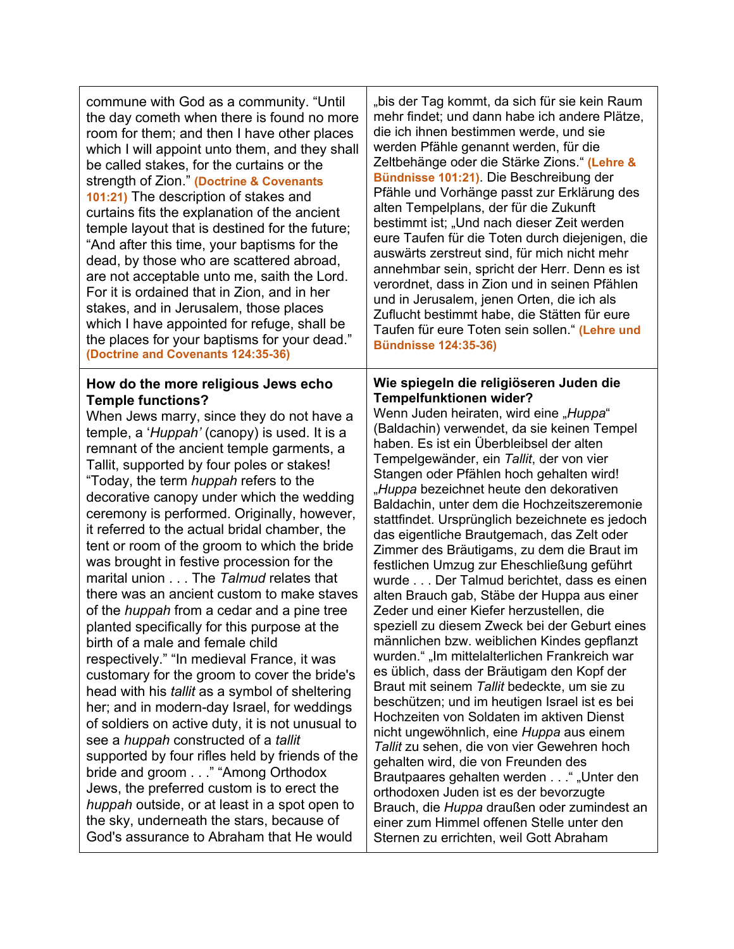commune with God as a community. "Until the day cometh when there is found no more room for them; and then I have other places which I will appoint unto them, and they shall be called stakes, for the curtains or the strength of Zion." **(Doctrine & Covenants 101:21)** The description of stakes and curtains fits the explanation of the ancient temple layout that is destined for the future; "And after this time, your baptisms for the dead, by those who are scattered abroad, are not acceptable unto me, saith the Lord. For it is ordained that in Zion, and in her stakes, and in Jerusalem, those places which I have appointed for refuge, shall be the places for your baptisms for your dead." **(Doctrine and Covenants 124:35-36)**

#### **How do the more religious Jews echo Temple functions?**

When Jews marry, since they do not have a temple, a '*Huppah'* (canopy) is used. It is a remnant of the ancient temple garments, a Tallit, supported by four poles or stakes! "Today, the term *huppah* refers to the decorative canopy under which the wedding ceremony is performed. Originally, however, it referred to the actual bridal chamber, the tent or room of the groom to which the bride was brought in festive procession for the marital union . . . The *Talmud* relates that there was an ancient custom to make staves of the *huppah* from a cedar and a pine tree planted specifically for this purpose at the birth of a male and female child respectively." "In medieval France, it was customary for the groom to cover the bride's head with his *tallit* as a symbol of sheltering her; and in modern-day Israel, for weddings of soldiers on active duty, it is not unusual to see a *huppah* constructed of a *tallit*  supported by four rifles held by friends of the bride and groom . . ." "Among Orthodox Jews, the preferred custom is to erect the *huppah* outside, or at least in a spot open to the sky, underneath the stars, because of God's assurance to Abraham that He would

"bis der Tag kommt, da sich für sie kein Raum mehr findet; und dann habe ich andere Plätze, die ich ihnen bestimmen werde, und sie werden Pfähle genannt werden, für die Zeltbehänge oder die Stärke Zions." **(Lehre & Bündnisse 101:21)**. Die Beschreibung der Pfähle und Vorhänge passt zur Erklärung des alten Tempelplans, der für die Zukunft bestimmt ist; "Und nach dieser Zeit werden eure Taufen für die Toten durch diejenigen, die auswärts zerstreut sind, für mich nicht mehr annehmbar sein, spricht der Herr. Denn es ist verordnet, dass in Zion und in seinen Pfählen und in Jerusalem, jenen Orten, die ich als Zuflucht bestimmt habe, die Stätten für eure Taufen für eure Toten sein sollen." **(Lehre und Bündnisse 124:35-36)**

#### **Wie spiegeln die religiöseren Juden die Tempelfunktionen wider?**

Wenn Juden heiraten, wird eine "Huppa" (Baldachin) verwendet, da sie keinen Tempel haben. Es ist ein Überbleibsel der alten Tempelgewänder, ein *Tallit*, der von vier Stangen oder Pfählen hoch gehalten wird! "*Huppa* bezeichnet heute den dekorativen Baldachin, unter dem die Hochzeitszeremonie stattfindet. Ursprünglich bezeichnete es jedoch das eigentliche Brautgemach, das Zelt oder Zimmer des Bräutigams, zu dem die Braut im festlichen Umzug zur Eheschließung geführt wurde . . . Der Talmud berichtet, dass es einen alten Brauch gab, Stäbe der Huppa aus einer Zeder und einer Kiefer herzustellen, die speziell zu diesem Zweck bei der Geburt eines männlichen bzw. weiblichen Kindes gepflanzt wurden." "Im mittelalterlichen Frankreich war es üblich, dass der Bräutigam den Kopf der Braut mit seinem *Tallit* bedeckte, um sie zu beschützen; und im heutigen Israel ist es bei Hochzeiten von Soldaten im aktiven Dienst nicht ungewöhnlich, eine *Huppa* aus einem *Tallit* zu sehen, die von vier Gewehren hoch gehalten wird, die von Freunden des Brautpaares gehalten werden . . . ", Unter den orthodoxen Juden ist es der bevorzugte Brauch, die *Huppa* draußen oder zumindest an einer zum Himmel offenen Stelle unter den Sternen zu errichten, weil Gott Abraham